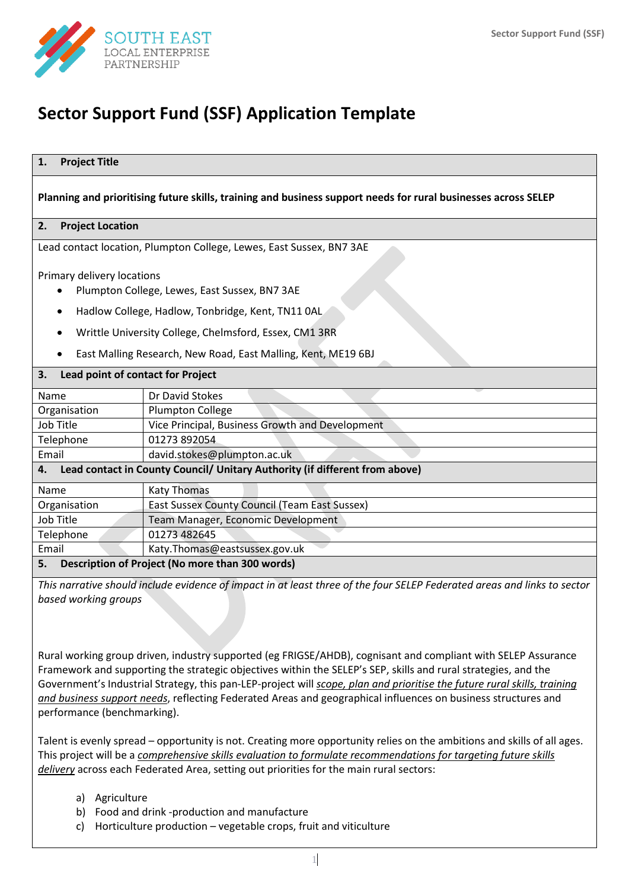

# **Sector Support Fund (SSF) Application Template**

## **Planning and prioritising future skills, training and business support needs for rural businesses across SELEP**

## **2. Project Location**

Lead contact location, Plumpton College, Lewes, East Sussex, BN7 3AE

Primary delivery locations

- Plumpton College, Lewes, East Sussex, BN7 3AE
- Hadlow College, Hadlow, Tonbridge, Kent, TN11 0AL
- Writtle University College, Chelmsford, Essex, CM1 3RR
- East Malling Research, New Road, East Malling, Kent, ME19 6BJ

## **3. Lead point of contact for Project**

| Name                                                                              | Dr David Stokes                                      |  |  |  |  |  |  |
|-----------------------------------------------------------------------------------|------------------------------------------------------|--|--|--|--|--|--|
| Organisation                                                                      | Plumpton College                                     |  |  |  |  |  |  |
| Job Title                                                                         | Vice Principal, Business Growth and Development      |  |  |  |  |  |  |
| Telephone                                                                         | 01273 892054                                         |  |  |  |  |  |  |
| Email                                                                             | david.stokes@plumpton.ac.uk                          |  |  |  |  |  |  |
| Lead contact in County Council/ Unitary Authority (if different from above)<br>4. |                                                      |  |  |  |  |  |  |
| Name                                                                              | <b>Katy Thomas</b>                                   |  |  |  |  |  |  |
| Organisation                                                                      | <b>East Sussex County Council (Team East Sussex)</b> |  |  |  |  |  |  |
| Job Title                                                                         | Team Manager, Economic Development                   |  |  |  |  |  |  |
| Telephone                                                                         | 01273 482645                                         |  |  |  |  |  |  |
| Email                                                                             | Katy.Thomas@eastsussex.gov.uk                        |  |  |  |  |  |  |
| Description of Project (No more than 300 words)<br>5.                             |                                                      |  |  |  |  |  |  |

*This narrative should include evidence of impact in at least three of the four SELEP Federated areas and links to sector based working groups*

Rural working group driven, industry supported (eg FRIGSE/AHDB), cognisant and compliant with SELEP Assurance Framework and supporting the strategic objectives within the SELEP's SEP, skills and rural strategies, and the Government's Industrial Strategy, this pan-LEP-project will *scope, plan and prioritise the future rural skills, training and business support needs*, reflecting Federated Areas and geographical influences on business structures and performance (benchmarking).

Talent is evenly spread – opportunity is not. Creating more opportunity relies on the ambitions and skills of all ages. This project will be a *comprehensive skills evaluation to formulate recommendations for targeting future skills delivery* across each Federated Area, setting out priorities for the main rural sectors:

- a) Agriculture
- b) Food and drink -production and manufacture
- c) Horticulture production vegetable crops, fruit and viticulture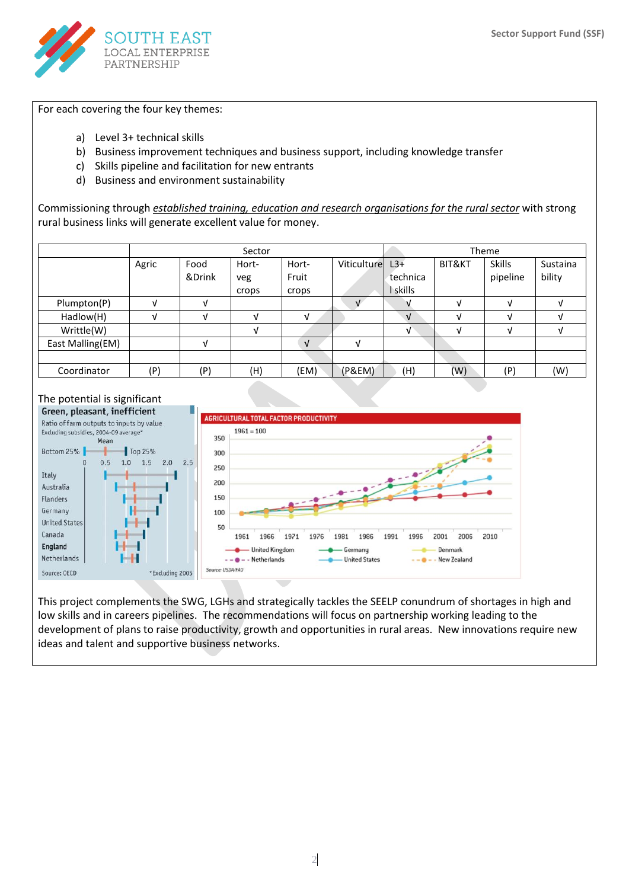

For each covering the four key themes:

- a) Level 3+ technical skills
- b) Business improvement techniques and business support, including knowledge transfer
- c) Skills pipeline and facilitation for new entrants
- d) Business and environment sustainability

Commissioning through *established training, education and research organisations for the rural sector* with strong rural business links will generate excellent value for money.

|                  |       |                | Sector                |                         |              | Theme                         |                   |                           |                    |
|------------------|-------|----------------|-----------------------|-------------------------|--------------|-------------------------------|-------------------|---------------------------|--------------------|
|                  | Agric | Food<br>&Drink | Hort-<br>veg<br>crops | Hort-<br>Fruit<br>crops | Viticulturel | $L3+$<br>technica<br>I skills | <b>BIT&amp;KT</b> | <b>Skills</b><br>pipeline | Sustaina<br>bility |
| Plumpton(P)      |       | A.             |                       |                         |              |                               | N                 |                           |                    |
| Hadlow(H)        |       | A.             | ٦I                    | V                       |              | $\sqrt{ }$                    | V                 | J.                        |                    |
| Writtle(W)       |       |                | J.                    |                         |              | V                             | V                 | V                         |                    |
| East Malling(EM) |       | $\mathcal{N}$  |                       | $\sqrt{ }$              | J            |                               |                   |                           |                    |
|                  |       |                |                       |                         |              |                               |                   |                           |                    |
| Coordinator      | (P)   | (P)            | (H)                   | (EM)                    | (P&EM)       | (H)                           | (W)               | (P)                       | (W)                |



This project complements the SWG, LGHs and strategically tackles the SEELP conundrum of shortages in high and low skills and in careers pipelines. The recommendations will focus on partnership working leading to the development of plans to raise productivity, growth and opportunities in rural areas. New innovations require new ideas and talent and supportive business networks.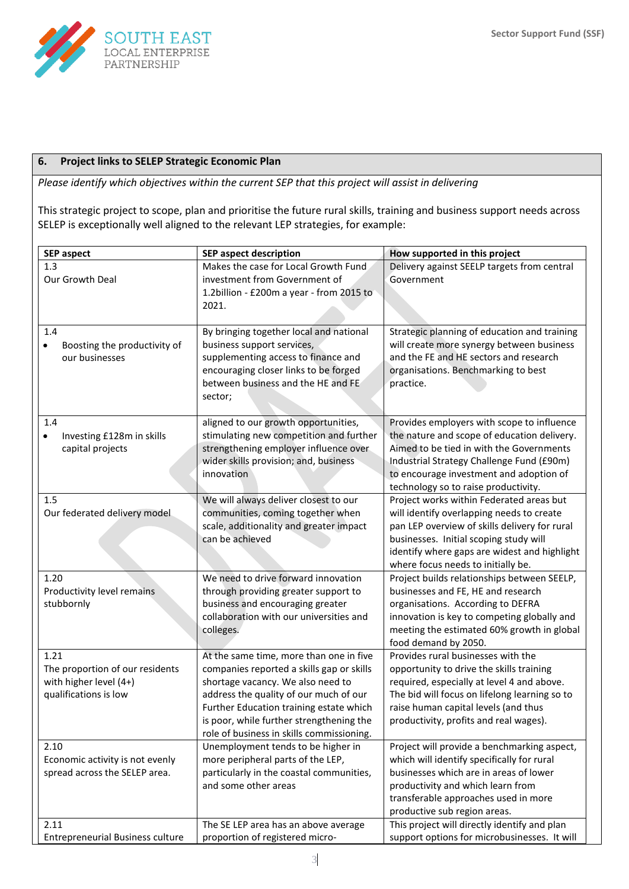

## **6. Project links to SELEP Strategic Economic Plan**

*Please identify which objectives within the current SEP that this project will assist in delivering*

This strategic project to scope, plan and prioritise the future rural skills, training and business support needs across SELEP is exceptionally well aligned to the relevant LEP strategies, for example:

| Makes the case for Local Growth Fund<br>1.3<br>Delivery against SEELP targets from central<br>investment from Government of<br>Our Growth Deal<br>Government<br>1.2billion - £200m a year - from 2015 to<br>2021.<br>1.4<br>By bringing together local and national<br>Strategic planning of education and training<br>will create more synergy between business<br>business support services,<br>Boosting the productivity of<br>$\bullet$<br>and the FE and HE sectors and research<br>supplementing access to finance and<br>our businesses<br>encouraging closer links to be forged<br>organisations. Benchmarking to best<br>between business and the HE and FE<br>practice.<br>sector;<br>1.4<br>aligned to our growth opportunities,<br>Provides employers with scope to influence<br>the nature and scope of education delivery.<br>stimulating new competition and further<br>Investing £128m in skills<br>٠<br>Aimed to be tied in with the Governments<br>strengthening employer influence over<br>capital projects<br>wider skills provision; and, business<br>Industrial Strategy Challenge Fund (£90m)<br>innovation<br>to encourage investment and adoption of<br>technology so to raise productivity.<br>Project works within Federated areas but<br>1.5<br>We will always deliver closest to our<br>communities, coming together when<br>Our federated delivery model<br>will identify overlapping needs to create<br>scale, additionality and greater impact<br>pan LEP overview of skills delivery for rural<br>can be achieved<br>businesses. Initial scoping study will<br>identify where gaps are widest and highlight<br>where focus needs to initially be.<br>1.20<br>We need to drive forward innovation<br>Project builds relationships between SEELP,<br>businesses and FE, HE and research<br>Productivity level remains<br>through providing greater support to<br>business and encouraging greater<br>stubbornly<br>organisations. According to DEFRA<br>collaboration with our universities and<br>innovation is key to competing globally and<br>colleges.<br>meeting the estimated 60% growth in global<br>food demand by 2050.<br>1.21<br>Provides rural businesses with the<br>At the same time, more than one in five<br>companies reported a skills gap or skills<br>opportunity to drive the skills training<br>The proportion of our residents<br>shortage vacancy. We also need to<br>with higher level (4+)<br>required, especially at level 4 and above.<br>address the quality of our much of our<br>The bid will focus on lifelong learning so to<br>qualifications is low<br>Further Education training estate which<br>raise human capital levels (and thus<br>is poor, while further strengthening the<br>productivity, profits and real wages).<br>role of business in skills commissioning.<br>Project will provide a benchmarking aspect,<br>Unemployment tends to be higher in<br>2.10<br>more peripheral parts of the LEP,<br>which will identify specifically for rural<br>Economic activity is not evenly<br>particularly in the coastal communities,<br>businesses which are in areas of lower<br>spread across the SELEP area.<br>and some other areas<br>productivity and which learn from<br>transferable approaches used in more<br>productive sub region areas. | <b>SEP aspect</b> | <b>SEP aspect description</b>        | How supported in this project                |
|-----------------------------------------------------------------------------------------------------------------------------------------------------------------------------------------------------------------------------------------------------------------------------------------------------------------------------------------------------------------------------------------------------------------------------------------------------------------------------------------------------------------------------------------------------------------------------------------------------------------------------------------------------------------------------------------------------------------------------------------------------------------------------------------------------------------------------------------------------------------------------------------------------------------------------------------------------------------------------------------------------------------------------------------------------------------------------------------------------------------------------------------------------------------------------------------------------------------------------------------------------------------------------------------------------------------------------------------------------------------------------------------------------------------------------------------------------------------------------------------------------------------------------------------------------------------------------------------------------------------------------------------------------------------------------------------------------------------------------------------------------------------------------------------------------------------------------------------------------------------------------------------------------------------------------------------------------------------------------------------------------------------------------------------------------------------------------------------------------------------------------------------------------------------------------------------------------------------------------------------------------------------------------------------------------------------------------------------------------------------------------------------------------------------------------------------------------------------------------------------------------------------------------------------------------------------------------------------------------------------------------------------------------------------------------------------------------------------------------------------------------------------------------------------------------------------------------------------------------------------------------------------------------------------------------------------------------------------------------------------------------------------------------------------------------------------------------------------------------------------------------------------------------------------------------------------------------------------------------------------------------------------------------------------------------------------------------|-------------------|--------------------------------------|----------------------------------------------|
|                                                                                                                                                                                                                                                                                                                                                                                                                                                                                                                                                                                                                                                                                                                                                                                                                                                                                                                                                                                                                                                                                                                                                                                                                                                                                                                                                                                                                                                                                                                                                                                                                                                                                                                                                                                                                                                                                                                                                                                                                                                                                                                                                                                                                                                                                                                                                                                                                                                                                                                                                                                                                                                                                                                                                                                                                                                                                                                                                                                                                                                                                                                                                                                                                                                                                                                             |                   |                                      |                                              |
|                                                                                                                                                                                                                                                                                                                                                                                                                                                                                                                                                                                                                                                                                                                                                                                                                                                                                                                                                                                                                                                                                                                                                                                                                                                                                                                                                                                                                                                                                                                                                                                                                                                                                                                                                                                                                                                                                                                                                                                                                                                                                                                                                                                                                                                                                                                                                                                                                                                                                                                                                                                                                                                                                                                                                                                                                                                                                                                                                                                                                                                                                                                                                                                                                                                                                                                             |                   |                                      |                                              |
|                                                                                                                                                                                                                                                                                                                                                                                                                                                                                                                                                                                                                                                                                                                                                                                                                                                                                                                                                                                                                                                                                                                                                                                                                                                                                                                                                                                                                                                                                                                                                                                                                                                                                                                                                                                                                                                                                                                                                                                                                                                                                                                                                                                                                                                                                                                                                                                                                                                                                                                                                                                                                                                                                                                                                                                                                                                                                                                                                                                                                                                                                                                                                                                                                                                                                                                             |                   |                                      |                                              |
|                                                                                                                                                                                                                                                                                                                                                                                                                                                                                                                                                                                                                                                                                                                                                                                                                                                                                                                                                                                                                                                                                                                                                                                                                                                                                                                                                                                                                                                                                                                                                                                                                                                                                                                                                                                                                                                                                                                                                                                                                                                                                                                                                                                                                                                                                                                                                                                                                                                                                                                                                                                                                                                                                                                                                                                                                                                                                                                                                                                                                                                                                                                                                                                                                                                                                                                             |                   |                                      |                                              |
|                                                                                                                                                                                                                                                                                                                                                                                                                                                                                                                                                                                                                                                                                                                                                                                                                                                                                                                                                                                                                                                                                                                                                                                                                                                                                                                                                                                                                                                                                                                                                                                                                                                                                                                                                                                                                                                                                                                                                                                                                                                                                                                                                                                                                                                                                                                                                                                                                                                                                                                                                                                                                                                                                                                                                                                                                                                                                                                                                                                                                                                                                                                                                                                                                                                                                                                             |                   |                                      |                                              |
|                                                                                                                                                                                                                                                                                                                                                                                                                                                                                                                                                                                                                                                                                                                                                                                                                                                                                                                                                                                                                                                                                                                                                                                                                                                                                                                                                                                                                                                                                                                                                                                                                                                                                                                                                                                                                                                                                                                                                                                                                                                                                                                                                                                                                                                                                                                                                                                                                                                                                                                                                                                                                                                                                                                                                                                                                                                                                                                                                                                                                                                                                                                                                                                                                                                                                                                             |                   |                                      |                                              |
|                                                                                                                                                                                                                                                                                                                                                                                                                                                                                                                                                                                                                                                                                                                                                                                                                                                                                                                                                                                                                                                                                                                                                                                                                                                                                                                                                                                                                                                                                                                                                                                                                                                                                                                                                                                                                                                                                                                                                                                                                                                                                                                                                                                                                                                                                                                                                                                                                                                                                                                                                                                                                                                                                                                                                                                                                                                                                                                                                                                                                                                                                                                                                                                                                                                                                                                             |                   |                                      |                                              |
|                                                                                                                                                                                                                                                                                                                                                                                                                                                                                                                                                                                                                                                                                                                                                                                                                                                                                                                                                                                                                                                                                                                                                                                                                                                                                                                                                                                                                                                                                                                                                                                                                                                                                                                                                                                                                                                                                                                                                                                                                                                                                                                                                                                                                                                                                                                                                                                                                                                                                                                                                                                                                                                                                                                                                                                                                                                                                                                                                                                                                                                                                                                                                                                                                                                                                                                             |                   |                                      |                                              |
|                                                                                                                                                                                                                                                                                                                                                                                                                                                                                                                                                                                                                                                                                                                                                                                                                                                                                                                                                                                                                                                                                                                                                                                                                                                                                                                                                                                                                                                                                                                                                                                                                                                                                                                                                                                                                                                                                                                                                                                                                                                                                                                                                                                                                                                                                                                                                                                                                                                                                                                                                                                                                                                                                                                                                                                                                                                                                                                                                                                                                                                                                                                                                                                                                                                                                                                             |                   |                                      |                                              |
|                                                                                                                                                                                                                                                                                                                                                                                                                                                                                                                                                                                                                                                                                                                                                                                                                                                                                                                                                                                                                                                                                                                                                                                                                                                                                                                                                                                                                                                                                                                                                                                                                                                                                                                                                                                                                                                                                                                                                                                                                                                                                                                                                                                                                                                                                                                                                                                                                                                                                                                                                                                                                                                                                                                                                                                                                                                                                                                                                                                                                                                                                                                                                                                                                                                                                                                             |                   |                                      |                                              |
|                                                                                                                                                                                                                                                                                                                                                                                                                                                                                                                                                                                                                                                                                                                                                                                                                                                                                                                                                                                                                                                                                                                                                                                                                                                                                                                                                                                                                                                                                                                                                                                                                                                                                                                                                                                                                                                                                                                                                                                                                                                                                                                                                                                                                                                                                                                                                                                                                                                                                                                                                                                                                                                                                                                                                                                                                                                                                                                                                                                                                                                                                                                                                                                                                                                                                                                             |                   |                                      |                                              |
|                                                                                                                                                                                                                                                                                                                                                                                                                                                                                                                                                                                                                                                                                                                                                                                                                                                                                                                                                                                                                                                                                                                                                                                                                                                                                                                                                                                                                                                                                                                                                                                                                                                                                                                                                                                                                                                                                                                                                                                                                                                                                                                                                                                                                                                                                                                                                                                                                                                                                                                                                                                                                                                                                                                                                                                                                                                                                                                                                                                                                                                                                                                                                                                                                                                                                                                             |                   |                                      |                                              |
|                                                                                                                                                                                                                                                                                                                                                                                                                                                                                                                                                                                                                                                                                                                                                                                                                                                                                                                                                                                                                                                                                                                                                                                                                                                                                                                                                                                                                                                                                                                                                                                                                                                                                                                                                                                                                                                                                                                                                                                                                                                                                                                                                                                                                                                                                                                                                                                                                                                                                                                                                                                                                                                                                                                                                                                                                                                                                                                                                                                                                                                                                                                                                                                                                                                                                                                             |                   |                                      |                                              |
|                                                                                                                                                                                                                                                                                                                                                                                                                                                                                                                                                                                                                                                                                                                                                                                                                                                                                                                                                                                                                                                                                                                                                                                                                                                                                                                                                                                                                                                                                                                                                                                                                                                                                                                                                                                                                                                                                                                                                                                                                                                                                                                                                                                                                                                                                                                                                                                                                                                                                                                                                                                                                                                                                                                                                                                                                                                                                                                                                                                                                                                                                                                                                                                                                                                                                                                             |                   |                                      |                                              |
|                                                                                                                                                                                                                                                                                                                                                                                                                                                                                                                                                                                                                                                                                                                                                                                                                                                                                                                                                                                                                                                                                                                                                                                                                                                                                                                                                                                                                                                                                                                                                                                                                                                                                                                                                                                                                                                                                                                                                                                                                                                                                                                                                                                                                                                                                                                                                                                                                                                                                                                                                                                                                                                                                                                                                                                                                                                                                                                                                                                                                                                                                                                                                                                                                                                                                                                             |                   |                                      |                                              |
|                                                                                                                                                                                                                                                                                                                                                                                                                                                                                                                                                                                                                                                                                                                                                                                                                                                                                                                                                                                                                                                                                                                                                                                                                                                                                                                                                                                                                                                                                                                                                                                                                                                                                                                                                                                                                                                                                                                                                                                                                                                                                                                                                                                                                                                                                                                                                                                                                                                                                                                                                                                                                                                                                                                                                                                                                                                                                                                                                                                                                                                                                                                                                                                                                                                                                                                             |                   |                                      |                                              |
|                                                                                                                                                                                                                                                                                                                                                                                                                                                                                                                                                                                                                                                                                                                                                                                                                                                                                                                                                                                                                                                                                                                                                                                                                                                                                                                                                                                                                                                                                                                                                                                                                                                                                                                                                                                                                                                                                                                                                                                                                                                                                                                                                                                                                                                                                                                                                                                                                                                                                                                                                                                                                                                                                                                                                                                                                                                                                                                                                                                                                                                                                                                                                                                                                                                                                                                             |                   |                                      |                                              |
|                                                                                                                                                                                                                                                                                                                                                                                                                                                                                                                                                                                                                                                                                                                                                                                                                                                                                                                                                                                                                                                                                                                                                                                                                                                                                                                                                                                                                                                                                                                                                                                                                                                                                                                                                                                                                                                                                                                                                                                                                                                                                                                                                                                                                                                                                                                                                                                                                                                                                                                                                                                                                                                                                                                                                                                                                                                                                                                                                                                                                                                                                                                                                                                                                                                                                                                             |                   |                                      |                                              |
|                                                                                                                                                                                                                                                                                                                                                                                                                                                                                                                                                                                                                                                                                                                                                                                                                                                                                                                                                                                                                                                                                                                                                                                                                                                                                                                                                                                                                                                                                                                                                                                                                                                                                                                                                                                                                                                                                                                                                                                                                                                                                                                                                                                                                                                                                                                                                                                                                                                                                                                                                                                                                                                                                                                                                                                                                                                                                                                                                                                                                                                                                                                                                                                                                                                                                                                             |                   |                                      |                                              |
|                                                                                                                                                                                                                                                                                                                                                                                                                                                                                                                                                                                                                                                                                                                                                                                                                                                                                                                                                                                                                                                                                                                                                                                                                                                                                                                                                                                                                                                                                                                                                                                                                                                                                                                                                                                                                                                                                                                                                                                                                                                                                                                                                                                                                                                                                                                                                                                                                                                                                                                                                                                                                                                                                                                                                                                                                                                                                                                                                                                                                                                                                                                                                                                                                                                                                                                             |                   |                                      |                                              |
|                                                                                                                                                                                                                                                                                                                                                                                                                                                                                                                                                                                                                                                                                                                                                                                                                                                                                                                                                                                                                                                                                                                                                                                                                                                                                                                                                                                                                                                                                                                                                                                                                                                                                                                                                                                                                                                                                                                                                                                                                                                                                                                                                                                                                                                                                                                                                                                                                                                                                                                                                                                                                                                                                                                                                                                                                                                                                                                                                                                                                                                                                                                                                                                                                                                                                                                             |                   |                                      |                                              |
|                                                                                                                                                                                                                                                                                                                                                                                                                                                                                                                                                                                                                                                                                                                                                                                                                                                                                                                                                                                                                                                                                                                                                                                                                                                                                                                                                                                                                                                                                                                                                                                                                                                                                                                                                                                                                                                                                                                                                                                                                                                                                                                                                                                                                                                                                                                                                                                                                                                                                                                                                                                                                                                                                                                                                                                                                                                                                                                                                                                                                                                                                                                                                                                                                                                                                                                             |                   |                                      |                                              |
|                                                                                                                                                                                                                                                                                                                                                                                                                                                                                                                                                                                                                                                                                                                                                                                                                                                                                                                                                                                                                                                                                                                                                                                                                                                                                                                                                                                                                                                                                                                                                                                                                                                                                                                                                                                                                                                                                                                                                                                                                                                                                                                                                                                                                                                                                                                                                                                                                                                                                                                                                                                                                                                                                                                                                                                                                                                                                                                                                                                                                                                                                                                                                                                                                                                                                                                             |                   |                                      |                                              |
|                                                                                                                                                                                                                                                                                                                                                                                                                                                                                                                                                                                                                                                                                                                                                                                                                                                                                                                                                                                                                                                                                                                                                                                                                                                                                                                                                                                                                                                                                                                                                                                                                                                                                                                                                                                                                                                                                                                                                                                                                                                                                                                                                                                                                                                                                                                                                                                                                                                                                                                                                                                                                                                                                                                                                                                                                                                                                                                                                                                                                                                                                                                                                                                                                                                                                                                             |                   |                                      |                                              |
|                                                                                                                                                                                                                                                                                                                                                                                                                                                                                                                                                                                                                                                                                                                                                                                                                                                                                                                                                                                                                                                                                                                                                                                                                                                                                                                                                                                                                                                                                                                                                                                                                                                                                                                                                                                                                                                                                                                                                                                                                                                                                                                                                                                                                                                                                                                                                                                                                                                                                                                                                                                                                                                                                                                                                                                                                                                                                                                                                                                                                                                                                                                                                                                                                                                                                                                             |                   |                                      |                                              |
|                                                                                                                                                                                                                                                                                                                                                                                                                                                                                                                                                                                                                                                                                                                                                                                                                                                                                                                                                                                                                                                                                                                                                                                                                                                                                                                                                                                                                                                                                                                                                                                                                                                                                                                                                                                                                                                                                                                                                                                                                                                                                                                                                                                                                                                                                                                                                                                                                                                                                                                                                                                                                                                                                                                                                                                                                                                                                                                                                                                                                                                                                                                                                                                                                                                                                                                             |                   |                                      |                                              |
|                                                                                                                                                                                                                                                                                                                                                                                                                                                                                                                                                                                                                                                                                                                                                                                                                                                                                                                                                                                                                                                                                                                                                                                                                                                                                                                                                                                                                                                                                                                                                                                                                                                                                                                                                                                                                                                                                                                                                                                                                                                                                                                                                                                                                                                                                                                                                                                                                                                                                                                                                                                                                                                                                                                                                                                                                                                                                                                                                                                                                                                                                                                                                                                                                                                                                                                             |                   |                                      |                                              |
|                                                                                                                                                                                                                                                                                                                                                                                                                                                                                                                                                                                                                                                                                                                                                                                                                                                                                                                                                                                                                                                                                                                                                                                                                                                                                                                                                                                                                                                                                                                                                                                                                                                                                                                                                                                                                                                                                                                                                                                                                                                                                                                                                                                                                                                                                                                                                                                                                                                                                                                                                                                                                                                                                                                                                                                                                                                                                                                                                                                                                                                                                                                                                                                                                                                                                                                             |                   |                                      |                                              |
|                                                                                                                                                                                                                                                                                                                                                                                                                                                                                                                                                                                                                                                                                                                                                                                                                                                                                                                                                                                                                                                                                                                                                                                                                                                                                                                                                                                                                                                                                                                                                                                                                                                                                                                                                                                                                                                                                                                                                                                                                                                                                                                                                                                                                                                                                                                                                                                                                                                                                                                                                                                                                                                                                                                                                                                                                                                                                                                                                                                                                                                                                                                                                                                                                                                                                                                             |                   |                                      |                                              |
|                                                                                                                                                                                                                                                                                                                                                                                                                                                                                                                                                                                                                                                                                                                                                                                                                                                                                                                                                                                                                                                                                                                                                                                                                                                                                                                                                                                                                                                                                                                                                                                                                                                                                                                                                                                                                                                                                                                                                                                                                                                                                                                                                                                                                                                                                                                                                                                                                                                                                                                                                                                                                                                                                                                                                                                                                                                                                                                                                                                                                                                                                                                                                                                                                                                                                                                             |                   |                                      |                                              |
|                                                                                                                                                                                                                                                                                                                                                                                                                                                                                                                                                                                                                                                                                                                                                                                                                                                                                                                                                                                                                                                                                                                                                                                                                                                                                                                                                                                                                                                                                                                                                                                                                                                                                                                                                                                                                                                                                                                                                                                                                                                                                                                                                                                                                                                                                                                                                                                                                                                                                                                                                                                                                                                                                                                                                                                                                                                                                                                                                                                                                                                                                                                                                                                                                                                                                                                             |                   |                                      |                                              |
|                                                                                                                                                                                                                                                                                                                                                                                                                                                                                                                                                                                                                                                                                                                                                                                                                                                                                                                                                                                                                                                                                                                                                                                                                                                                                                                                                                                                                                                                                                                                                                                                                                                                                                                                                                                                                                                                                                                                                                                                                                                                                                                                                                                                                                                                                                                                                                                                                                                                                                                                                                                                                                                                                                                                                                                                                                                                                                                                                                                                                                                                                                                                                                                                                                                                                                                             |                   |                                      |                                              |
|                                                                                                                                                                                                                                                                                                                                                                                                                                                                                                                                                                                                                                                                                                                                                                                                                                                                                                                                                                                                                                                                                                                                                                                                                                                                                                                                                                                                                                                                                                                                                                                                                                                                                                                                                                                                                                                                                                                                                                                                                                                                                                                                                                                                                                                                                                                                                                                                                                                                                                                                                                                                                                                                                                                                                                                                                                                                                                                                                                                                                                                                                                                                                                                                                                                                                                                             |                   |                                      |                                              |
|                                                                                                                                                                                                                                                                                                                                                                                                                                                                                                                                                                                                                                                                                                                                                                                                                                                                                                                                                                                                                                                                                                                                                                                                                                                                                                                                                                                                                                                                                                                                                                                                                                                                                                                                                                                                                                                                                                                                                                                                                                                                                                                                                                                                                                                                                                                                                                                                                                                                                                                                                                                                                                                                                                                                                                                                                                                                                                                                                                                                                                                                                                                                                                                                                                                                                                                             |                   |                                      |                                              |
|                                                                                                                                                                                                                                                                                                                                                                                                                                                                                                                                                                                                                                                                                                                                                                                                                                                                                                                                                                                                                                                                                                                                                                                                                                                                                                                                                                                                                                                                                                                                                                                                                                                                                                                                                                                                                                                                                                                                                                                                                                                                                                                                                                                                                                                                                                                                                                                                                                                                                                                                                                                                                                                                                                                                                                                                                                                                                                                                                                                                                                                                                                                                                                                                                                                                                                                             |                   |                                      |                                              |
|                                                                                                                                                                                                                                                                                                                                                                                                                                                                                                                                                                                                                                                                                                                                                                                                                                                                                                                                                                                                                                                                                                                                                                                                                                                                                                                                                                                                                                                                                                                                                                                                                                                                                                                                                                                                                                                                                                                                                                                                                                                                                                                                                                                                                                                                                                                                                                                                                                                                                                                                                                                                                                                                                                                                                                                                                                                                                                                                                                                                                                                                                                                                                                                                                                                                                                                             |                   |                                      |                                              |
|                                                                                                                                                                                                                                                                                                                                                                                                                                                                                                                                                                                                                                                                                                                                                                                                                                                                                                                                                                                                                                                                                                                                                                                                                                                                                                                                                                                                                                                                                                                                                                                                                                                                                                                                                                                                                                                                                                                                                                                                                                                                                                                                                                                                                                                                                                                                                                                                                                                                                                                                                                                                                                                                                                                                                                                                                                                                                                                                                                                                                                                                                                                                                                                                                                                                                                                             |                   |                                      |                                              |
|                                                                                                                                                                                                                                                                                                                                                                                                                                                                                                                                                                                                                                                                                                                                                                                                                                                                                                                                                                                                                                                                                                                                                                                                                                                                                                                                                                                                                                                                                                                                                                                                                                                                                                                                                                                                                                                                                                                                                                                                                                                                                                                                                                                                                                                                                                                                                                                                                                                                                                                                                                                                                                                                                                                                                                                                                                                                                                                                                                                                                                                                                                                                                                                                                                                                                                                             |                   |                                      |                                              |
|                                                                                                                                                                                                                                                                                                                                                                                                                                                                                                                                                                                                                                                                                                                                                                                                                                                                                                                                                                                                                                                                                                                                                                                                                                                                                                                                                                                                                                                                                                                                                                                                                                                                                                                                                                                                                                                                                                                                                                                                                                                                                                                                                                                                                                                                                                                                                                                                                                                                                                                                                                                                                                                                                                                                                                                                                                                                                                                                                                                                                                                                                                                                                                                                                                                                                                                             |                   |                                      |                                              |
|                                                                                                                                                                                                                                                                                                                                                                                                                                                                                                                                                                                                                                                                                                                                                                                                                                                                                                                                                                                                                                                                                                                                                                                                                                                                                                                                                                                                                                                                                                                                                                                                                                                                                                                                                                                                                                                                                                                                                                                                                                                                                                                                                                                                                                                                                                                                                                                                                                                                                                                                                                                                                                                                                                                                                                                                                                                                                                                                                                                                                                                                                                                                                                                                                                                                                                                             |                   |                                      |                                              |
|                                                                                                                                                                                                                                                                                                                                                                                                                                                                                                                                                                                                                                                                                                                                                                                                                                                                                                                                                                                                                                                                                                                                                                                                                                                                                                                                                                                                                                                                                                                                                                                                                                                                                                                                                                                                                                                                                                                                                                                                                                                                                                                                                                                                                                                                                                                                                                                                                                                                                                                                                                                                                                                                                                                                                                                                                                                                                                                                                                                                                                                                                                                                                                                                                                                                                                                             |                   |                                      |                                              |
|                                                                                                                                                                                                                                                                                                                                                                                                                                                                                                                                                                                                                                                                                                                                                                                                                                                                                                                                                                                                                                                                                                                                                                                                                                                                                                                                                                                                                                                                                                                                                                                                                                                                                                                                                                                                                                                                                                                                                                                                                                                                                                                                                                                                                                                                                                                                                                                                                                                                                                                                                                                                                                                                                                                                                                                                                                                                                                                                                                                                                                                                                                                                                                                                                                                                                                                             | 2.11              | The SE LEP area has an above average | This project will directly identify and plan |
| support options for microbusinesses. It will<br>proportion of registered micro-<br><b>Entrepreneurial Business culture</b>                                                                                                                                                                                                                                                                                                                                                                                                                                                                                                                                                                                                                                                                                                                                                                                                                                                                                                                                                                                                                                                                                                                                                                                                                                                                                                                                                                                                                                                                                                                                                                                                                                                                                                                                                                                                                                                                                                                                                                                                                                                                                                                                                                                                                                                                                                                                                                                                                                                                                                                                                                                                                                                                                                                                                                                                                                                                                                                                                                                                                                                                                                                                                                                                  |                   |                                      |                                              |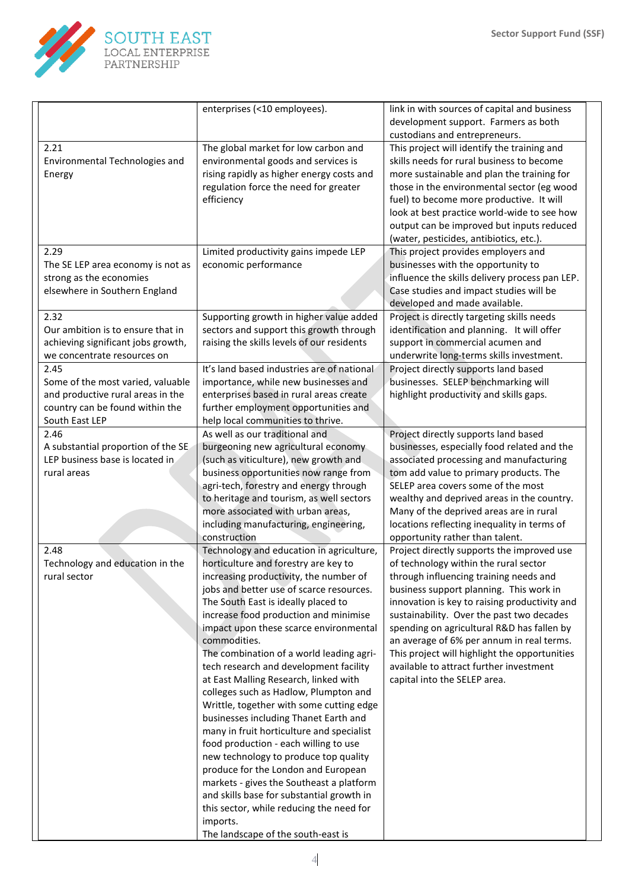

|                                                                      | enterprises (<10 employees).                                                    | link in with sources of capital and business                                               |
|----------------------------------------------------------------------|---------------------------------------------------------------------------------|--------------------------------------------------------------------------------------------|
|                                                                      |                                                                                 | development support. Farmers as both<br>custodians and entrepreneurs.                      |
| 2.21                                                                 | The global market for low carbon and                                            | This project will identify the training and                                                |
| Environmental Technologies and                                       | environmental goods and services is                                             | skills needs for rural business to become                                                  |
| Energy                                                               | rising rapidly as higher energy costs and                                       | more sustainable and plan the training for                                                 |
|                                                                      | regulation force the need for greater                                           | those in the environmental sector (eg wood                                                 |
|                                                                      | efficiency                                                                      | fuel) to become more productive. It will                                                   |
|                                                                      |                                                                                 | look at best practice world-wide to see how                                                |
|                                                                      |                                                                                 | output can be improved but inputs reduced                                                  |
|                                                                      |                                                                                 | (water, pesticides, antibiotics, etc.).                                                    |
| 2.29                                                                 | Limited productivity gains impede LEP                                           | This project provides employers and                                                        |
| The SE LEP area economy is not as                                    | economic performance                                                            | businesses with the opportunity to                                                         |
| strong as the economies                                              |                                                                                 | influence the skills delivery process pan LEP.                                             |
| elsewhere in Southern England                                        |                                                                                 | Case studies and impact studies will be                                                    |
|                                                                      |                                                                                 | developed and made available.                                                              |
| 2.32                                                                 | Supporting growth in higher value added                                         | Project is directly targeting skills needs                                                 |
| Our ambition is to ensure that in                                    | sectors and support this growth through                                         | identification and planning. It will offer                                                 |
| achieving significant jobs growth,                                   | raising the skills levels of our residents                                      | support in commercial acumen and                                                           |
| we concentrate resources on                                          |                                                                                 | underwrite long-terms skills investment.                                                   |
| 2.45                                                                 | It's land based industries are of national                                      | Project directly supports land based                                                       |
| Some of the most varied, valuable                                    | importance, while new businesses and                                            | businesses. SELEP benchmarking will                                                        |
| and productive rural areas in the<br>country can be found within the | enterprises based in rural areas create<br>further employment opportunities and | highlight productivity and skills gaps.                                                    |
| South East LEP                                                       | help local communities to thrive.                                               |                                                                                            |
| 2.46                                                                 | As well as our traditional and                                                  | Project directly supports land based                                                       |
| A substantial proportion of the SE                                   | burgeoning new agricultural economy                                             | businesses, especially food related and the                                                |
| LEP business base is located in                                      | (such as viticulture), new growth and                                           | associated processing and manufacturing                                                    |
| rural areas                                                          | business opportunities now range from                                           | tom add value to primary products. The                                                     |
|                                                                      | agri-tech, forestry and energy through                                          | SELEP area covers some of the most                                                         |
|                                                                      | to heritage and tourism, as well sectors                                        | wealthy and deprived areas in the country.                                                 |
|                                                                      | more associated with urban areas,                                               | Many of the deprived areas are in rural                                                    |
|                                                                      | including manufacturing, engineering,                                           | locations reflecting inequality in terms of                                                |
|                                                                      | construction                                                                    | opportunity rather than talent.                                                            |
| 2.48                                                                 | Technology and education in agriculture,                                        | Project directly supports the improved use                                                 |
| Technology and education in the                                      | horticulture and forestry are key to                                            | of technology within the rural sector                                                      |
| rural sector                                                         | increasing productivity, the number of                                          | through influencing training needs and                                                     |
|                                                                      | jobs and better use of scarce resources.                                        | business support planning. This work in                                                    |
|                                                                      | The South East is ideally placed to                                             | innovation is key to raising productivity and                                              |
|                                                                      | increase food production and minimise                                           | sustainability. Over the past two decades                                                  |
|                                                                      | impact upon these scarce environmental                                          | spending on agricultural R&D has fallen by                                                 |
|                                                                      | commodities.<br>The combination of a world leading agri-                        | an average of 6% per annum in real terms.<br>This project will highlight the opportunities |
|                                                                      | tech research and development facility                                          | available to attract further investment                                                    |
|                                                                      | at East Malling Research, linked with                                           | capital into the SELEP area.                                                               |
|                                                                      | colleges such as Hadlow, Plumpton and                                           |                                                                                            |
|                                                                      | Writtle, together with some cutting edge                                        |                                                                                            |
|                                                                      | businesses including Thanet Earth and                                           |                                                                                            |
|                                                                      | many in fruit horticulture and specialist                                       |                                                                                            |
|                                                                      | food production - each willing to use                                           |                                                                                            |
|                                                                      | new technology to produce top quality                                           |                                                                                            |
|                                                                      | produce for the London and European                                             |                                                                                            |
|                                                                      | markets - gives the Southeast a platform                                        |                                                                                            |
|                                                                      | and skills base for substantial growth in                                       |                                                                                            |
|                                                                      | this sector, while reducing the need for                                        |                                                                                            |
|                                                                      | imports.                                                                        |                                                                                            |
|                                                                      | The landscape of the south-east is                                              |                                                                                            |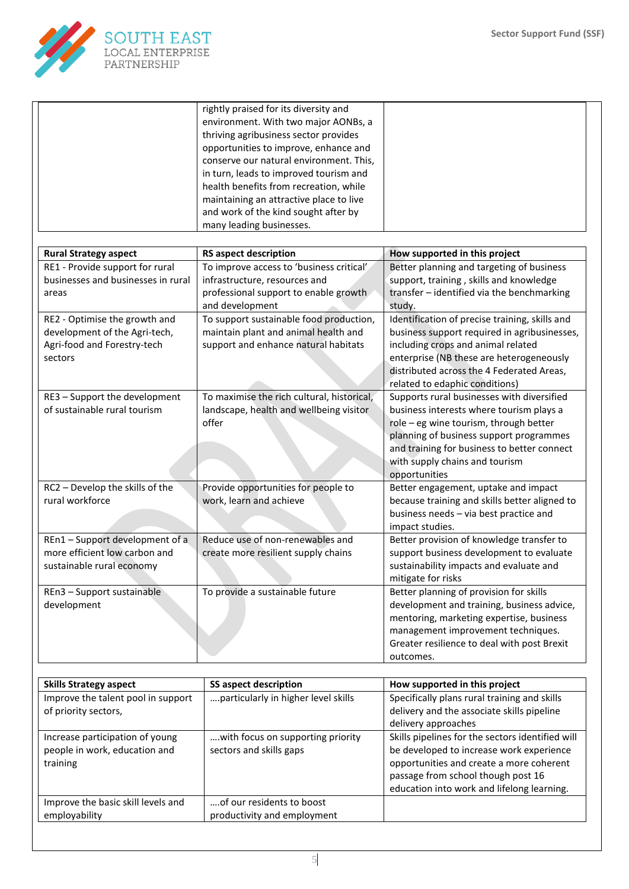

|                                    | rightly praised for its diversity and      |                                                |
|------------------------------------|--------------------------------------------|------------------------------------------------|
|                                    | environment. With two major AONBs, a       |                                                |
|                                    | thriving agribusiness sector provides      |                                                |
|                                    | opportunities to improve, enhance and      |                                                |
|                                    | conserve our natural environment. This,    |                                                |
|                                    | in turn, leads to improved tourism and     |                                                |
|                                    | health benefits from recreation, while     |                                                |
|                                    | maintaining an attractive place to live    |                                                |
|                                    | and work of the kind sought after by       |                                                |
|                                    | many leading businesses.                   |                                                |
|                                    |                                            |                                                |
| <b>Rural Strategy aspect</b>       | <b>RS aspect description</b>               | How supported in this project                  |
| RE1 - Provide support for rural    | To improve access to 'business critical'   | Better planning and targeting of business      |
| businesses and businesses in rural | infrastructure, resources and              | support, training, skills and knowledge        |
|                                    |                                            |                                                |
| areas                              | professional support to enable growth      | transfer - identified via the benchmarking     |
|                                    | and development                            | study.                                         |
| RE2 - Optimise the growth and      | To support sustainable food production,    | Identification of precise training, skills and |
| development of the Agri-tech,      | maintain plant and animal health and       | business support required in agribusinesses,   |
| Agri-food and Forestry-tech        | support and enhance natural habitats       | including crops and animal related             |
| sectors                            |                                            | enterprise (NB these are heterogeneously       |
|                                    |                                            | distributed across the 4 Federated Areas,      |
|                                    |                                            | related to edaphic conditions)                 |
| RE3 - Support the development      | To maximise the rich cultural, historical, | Supports rural businesses with diversified     |
| of sustainable rural tourism       | landscape, health and wellbeing visitor    | business interests where tourism plays a       |
|                                    | offer                                      | role - eg wine tourism, through better         |
|                                    |                                            | planning of business support programmes        |
|                                    |                                            | and training for business to better connect    |
|                                    |                                            | with supply chains and tourism                 |
|                                    |                                            | opportunities                                  |
| RC2 - Develop the skills of the    | Provide opportunities for people to        | Better engagement, uptake and impact           |
| rural workforce                    | work, learn and achieve                    | because training and skills better aligned to  |
|                                    |                                            | business needs - via best practice and         |
|                                    |                                            | impact studies.                                |
| REn1-Support development of a      | Reduce use of non-renewables and           | Better provision of knowledge transfer to      |
| more efficient low carbon and      | create more resilient supply chains        | support business development to evaluate       |
| sustainable rural economy          |                                            | sustainability impacts and evaluate and        |
|                                    |                                            | mitigate for risks                             |
| REn3 - Support sustainable         | To provide a sustainable future            | Better planning of provision for skills        |
|                                    |                                            | development and training, business advice,     |
| development                        |                                            | mentoring, marketing expertise, business       |
|                                    |                                            |                                                |
|                                    |                                            | management improvement techniques.             |
|                                    |                                            | Greater resilience to deal with post Brexit    |
|                                    |                                            | outcomes.                                      |

| <b>Skills Strategy aspect</b>      | <b>SS aspect description</b>        | How supported in this project                    |
|------------------------------------|-------------------------------------|--------------------------------------------------|
| Improve the talent pool in support | particularly in higher level skills | Specifically plans rural training and skills     |
| of priority sectors,               |                                     | delivery and the associate skills pipeline       |
|                                    |                                     | delivery approaches                              |
| Increase participation of young    | with focus on supporting priority   | Skills pipelines for the sectors identified will |
| people in work, education and      | sectors and skills gaps             | be developed to increase work experience         |
| training                           |                                     | opportunities and create a more coherent         |
|                                    |                                     | passage from school though post 16               |
|                                    |                                     | education into work and lifelong learning.       |
| Improve the basic skill levels and | of our residents to boost           |                                                  |
| employability                      | productivity and employment         |                                                  |

5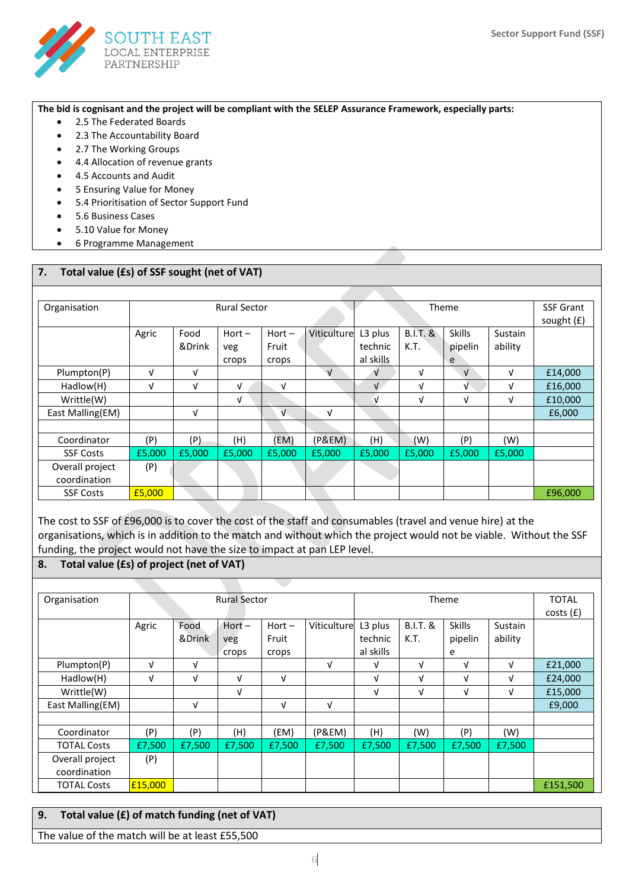

**The bid is cognisant and the project will be compliant with the SELEP Assurance Framework, especially parts:**

- 2.5 The Federated Boards
- 2.3 The Accountability Board
- 2.7 The Working Groups
- 4.4 Allocation of revenue grants
- 4.5 Accounts and Audit
- 5 Ensuring Value for Money
- 5.4 Prioritisation of Sector Support Fund
- 5.6 Business Cases
- 5.10 Value for Money
- 6 Programme Management

## **7. Total value (£s) of SSF sought (net of VAT)**

| Organisation     | <b>Rural Sector</b> |                |                 |                   |             | Theme              |                    |                          |                    | <b>SSF Grant</b><br>sought $(f)$ |
|------------------|---------------------|----------------|-----------------|-------------------|-------------|--------------------|--------------------|--------------------------|--------------------|----------------------------------|
|                  | Agric               | Food<br>&Drink | $Hort -$<br>veg | $Hort -$<br>Fruit | Viticulture | L3 plus<br>technic | $B.I.T.$ &<br>K.T. | <b>Skills</b><br>pipelin | Sustain<br>ability |                                  |
|                  |                     |                | crops           | crops             |             | al skills          |                    | e                        |                    |                                  |
| Plumpton(P)      | $\sqrt{ }$          | V              |                 |                   | $\sqrt{ }$  | $\sqrt{ }$         | V                  | $\sqrt{ }$               | V                  | £14,000                          |
| Hadlow(H)        | V                   | V              | V               | V                 |             | $\mathbf{V}$       | V                  | V                        | V                  | £16,000                          |
| Writtle(W)       |                     |                | v               |                   |             | √                  | V                  | V                        | V                  | £10,000                          |
| East Malling(EM) |                     | V              |                 | $\sqrt{ }$        | v           |                    |                    |                          |                    | £6,000                           |
|                  |                     |                |                 |                   |             |                    |                    |                          |                    |                                  |
| Coordinator      | (P)                 | (P)            | (H)             | (EM)              | (P&EM)      | (H)                | (W)                | (P)                      | (W)                |                                  |
| <b>SSF Costs</b> | £5,000              | £5,000         | £5,000          | £5,000            | £5,000      | £5,000             | £5,000             | £5,000                   | £5,000             |                                  |
| Overall project  | (P)                 |                |                 |                   |             |                    |                    |                          |                    |                                  |
| coordination     |                     |                |                 |                   |             |                    |                    |                          |                    |                                  |
| <b>SSF Costs</b> | £5,000              |                |                 |                   |             |                    |                    |                          |                    | £96,000                          |

The cost to SSF of £96,000 is to cover the cost of the staff and consumables (travel and venue hire) at the organisations, which is in addition to the match and without which the project would not be viable. Without the SSF funding, the project would not have the size to impact at pan LEP level.

#### **8. Total value (£s) of project (net of VAT)**

| Organisation                    |         | <b>Rural Sector</b> |                          |                            |             |                                 | Theme                       |                               |                    |          |
|---------------------------------|---------|---------------------|--------------------------|----------------------------|-------------|---------------------------------|-----------------------------|-------------------------------|--------------------|----------|
|                                 | Agric   | Food<br>&Drink      | $Hort -$<br>veg<br>crops | $Hort -$<br>Fruit<br>crops | Viticulture | L3 plus<br>technic<br>al skills | <b>B.I.T. &amp;</b><br>K.T. | <b>Skills</b><br>pipelin<br>e | Sustain<br>ability | costs(f) |
| Plumpton(P)                     | V       | V                   |                          |                            | v           | V                               | V                           | V                             | V                  | £21,000  |
| Hadlow(H)                       | V       | V                   | V                        | $\sqrt{ }$                 |             | V                               | V                           | V                             | V                  | £24,000  |
| Writtle(W)                      |         |                     | V                        |                            |             | V                               | V                           | V                             | V                  | £15,000  |
| East Malling(EM)                |         | v                   |                          | $\sqrt{ }$                 | V           |                                 |                             |                               |                    | £9,000   |
|                                 |         |                     |                          |                            |             |                                 |                             |                               |                    |          |
| Coordinator                     | (P)     | (P)                 | (H)                      | (EM)                       | (P&EM)      | (H)                             | (W)                         | (P)                           | (W)                |          |
| <b>TOTAL Costs</b>              | £7,500  | £7,500              | £7,500                   | £7.500                     | £7,500      | £7,500                          | £7,500                      | £7,500                        | £7,500             |          |
| Overall project<br>coordination | (P)     |                     |                          |                            |             |                                 |                             |                               |                    |          |
| <b>TOTAL Costs</b>              | £15,000 |                     |                          |                            |             |                                 |                             |                               |                    | £151,500 |

## **9. Total value (£) of match funding (net of VAT)**

The value of the match will be at least £55,500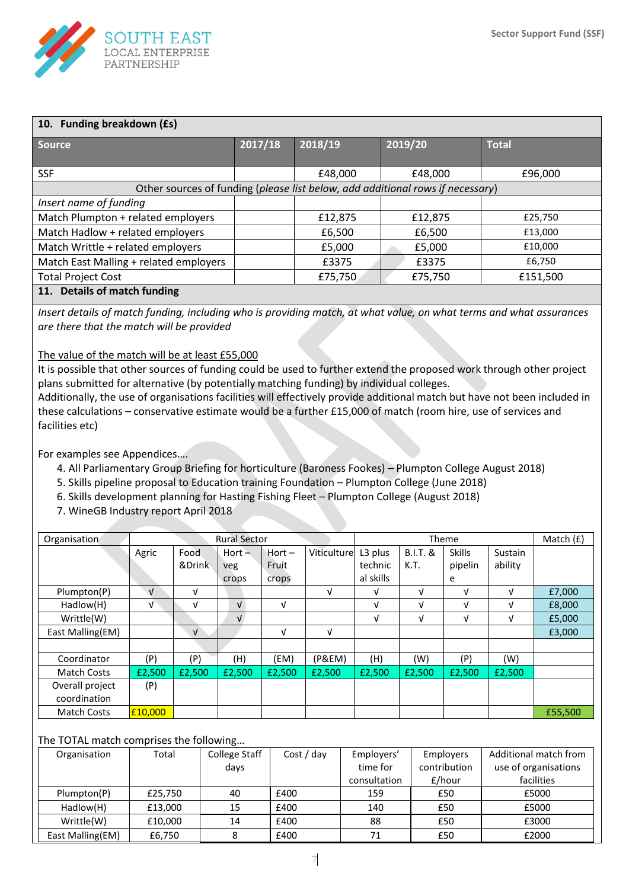

| 10. Funding breakdown (£s)                                                     |         |         |         |              |  |  |  |  |  |  |
|--------------------------------------------------------------------------------|---------|---------|---------|--------------|--|--|--|--|--|--|
| <b>Source</b>                                                                  | 2017/18 | 2018/19 | 2019/20 | <b>Total</b> |  |  |  |  |  |  |
|                                                                                |         |         |         |              |  |  |  |  |  |  |
| <b>SSF</b>                                                                     |         | £48,000 | £48,000 | £96,000      |  |  |  |  |  |  |
| Other sources of funding (please list below, add additional rows if necessary) |         |         |         |              |  |  |  |  |  |  |
| Insert name of funding                                                         |         |         |         |              |  |  |  |  |  |  |
| Match Plumpton + related employers                                             |         | £12,875 | £12,875 | £25,750      |  |  |  |  |  |  |
| Match Hadlow + related employers                                               |         | £6,500  | £6,500  | £13,000      |  |  |  |  |  |  |
| Match Writtle + related employers                                              |         | £5,000  | £5,000  | £10,000      |  |  |  |  |  |  |
| Match East Malling + related employers                                         |         | £3375   | £3375   | £6,750       |  |  |  |  |  |  |
| <b>Total Project Cost</b>                                                      |         | £75,750 | £75,750 | £151,500     |  |  |  |  |  |  |
| 11 Dotaile of match funding                                                    |         |         |         |              |  |  |  |  |  |  |

**11. Details of match funding** 

*Insert details of match funding, including who is providing match, at what value, on what terms and what assurances are there that the match will be provided*

The value of the match will be at least £55,000

It is possible that other sources of funding could be used to further extend the proposed work through other project plans submitted for alternative (by potentially matching funding) by individual colleges.

Additionally, the use of organisations facilities will effectively provide additional match but have not been included in these calculations – conservative estimate would be a further £15,000 of match (room hire, use of services and facilities etc)

For examples see Appendices….

- 4. All Parliamentary Group Briefing for horticulture (Baroness Fookes) Plumpton College August 2018)
- 5. Skills pipeline proposal to Education training Foundation Plumpton College (June 2018)
- 6. Skills development planning for Hasting Fishing Fleet Plumpton College (August 2018)
- 7. WineGB Industry report April 2018

| Organisation       | <b>Rural Sector</b> |            |            |          |             |                     | Theme               |               |         |         |
|--------------------|---------------------|------------|------------|----------|-------------|---------------------|---------------------|---------------|---------|---------|
|                    | Agric               | Food       | $Hort -$   | $Hort -$ | Viticulture | L <sub>3</sub> plus | <b>B.I.T. &amp;</b> | <b>Skills</b> | Sustain |         |
|                    |                     | &Drink     | veg        | Fruit    |             | technic             | K.T.                | pipelin       | ability |         |
|                    |                     |            | crops      | crops    |             | al skills           |                     | e             |         |         |
| Plumpton(P)        | $\sqrt{ }$          | V          |            |          | V           | V                   | V                   | V             | V       | £7,000  |
| Hadlow(H)          | $\sqrt{ }$          | V          | $\sqrt{ }$ | v        |             | V                   | V                   | V             | V       | £8,000  |
| Writtle(W)         |                     |            | $\sqrt{ }$ |          |             | V                   | V                   | V             | V       | £5,000  |
| East Malling(EM)   |                     | $\sqrt{ }$ |            | v        | V           |                     |                     |               |         | £3,000  |
|                    |                     |            |            |          |             |                     |                     |               |         |         |
| Coordinator        | (P)                 | (P)        | (H)        | (EM)     | (P&EM)      | (H)                 | (W)                 | (P)           | (W)     |         |
| <b>Match Costs</b> | £2,500              | £2,500     | £2,500     | £2,500   | £2,500      | £2,500              | £2,500              | £2,500        | £2,500  |         |
| Overall project    | (P)                 |            |            |          |             |                     |                     |               |         |         |
| coordination       |                     |            |            |          |             |                     |                     |               |         |         |
| <b>Match Costs</b> | £10,000             |            |            |          |             |                     |                     |               |         | £55,500 |

The TOTAL match comprises the following…

| Organisation     | Total   | College Staff | Cost / day | Employers'   | <b>Employers</b> | Additional match from |
|------------------|---------|---------------|------------|--------------|------------------|-----------------------|
|                  |         | days          |            | time for     | contribution     | use of organisations  |
|                  |         |               |            | consultation | £/hour           | facilities            |
| Plumpton(P)      | £25.750 | 40            | £400       | 159          | £50              | £5000                 |
| Hadlow(H)        | £13,000 | 15            | £400       | 140          | £50              | £5000                 |
| Writtle(W)       | £10,000 | 14            | £400       | 88           | £50              | £3000                 |
| East Malling(EM) | £6,750  |               | £400       |              | £50              | £2000                 |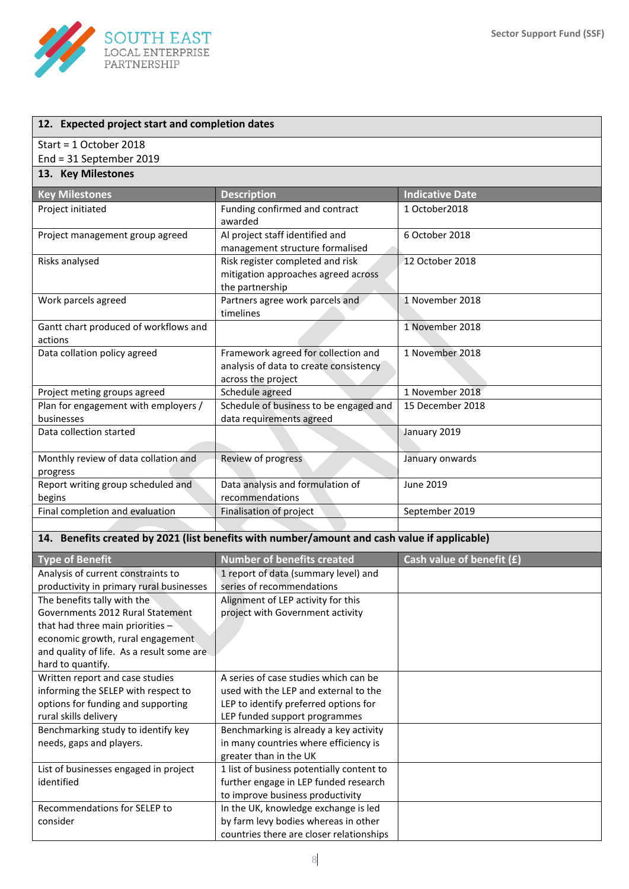

| 12. Expected project start and completion dates                                              |                                                                                                     |                           |
|----------------------------------------------------------------------------------------------|-----------------------------------------------------------------------------------------------------|---------------------------|
| Start = 1 October 2018                                                                       |                                                                                                     |                           |
| End = 31 September 2019                                                                      |                                                                                                     |                           |
| 13. Key Milestones                                                                           |                                                                                                     |                           |
| <b>Key Milestones</b>                                                                        | <b>Description</b>                                                                                  | <b>Indicative Date</b>    |
| Project initiated                                                                            | Funding confirmed and contract<br>awarded                                                           | 1 October2018             |
| Project management group agreed                                                              | Al project staff identified and<br>management structure formalised                                  | 6 October 2018            |
| Risks analysed                                                                               | Risk register completed and risk<br>mitigation approaches agreed across<br>the partnership          | 12 October 2018           |
| Work parcels agreed                                                                          | Partners agree work parcels and<br>timelines                                                        | 1 November 2018           |
| Gantt chart produced of workflows and<br>actions                                             |                                                                                                     | 1 November 2018           |
| Data collation policy agreed                                                                 | Framework agreed for collection and<br>analysis of data to create consistency<br>across the project | 1 November 2018           |
| Project meting groups agreed                                                                 | Schedule agreed                                                                                     | 1 November 2018           |
| Plan for engagement with employers /<br>businesses                                           | Schedule of business to be engaged and<br>data requirements agreed                                  | 15 December 2018          |
| Data collection started                                                                      |                                                                                                     | January 2019              |
| Monthly review of data collation and<br>progress                                             | Review of progress                                                                                  | January onwards           |
| Report writing group scheduled and<br>begins                                                 | Data analysis and formulation of<br>recommendations                                                 | <b>June 2019</b>          |
| Final completion and evaluation                                                              | Finalisation of project                                                                             | September 2019            |
|                                                                                              |                                                                                                     |                           |
| 14. Benefits created by 2021 (list benefits with number/amount and cash value if applicable) |                                                                                                     |                           |
| <b>Type of Benefit</b>                                                                       | <b>Number of benefits created</b>                                                                   | Cash value of benefit (£) |

| Type of Benefit                           | <b>Number of benefits created</b>         | Cash value of benefit (£) |
|-------------------------------------------|-------------------------------------------|---------------------------|
| Analysis of current constraints to        | 1 report of data (summary level) and      |                           |
| productivity in primary rural businesses  | series of recommendations                 |                           |
| The benefits tally with the               | Alignment of LEP activity for this        |                           |
| Governments 2012 Rural Statement          | project with Government activity          |                           |
| that had three main priorities -          |                                           |                           |
| economic growth, rural engagement.        |                                           |                           |
| and quality of life. As a result some are |                                           |                           |
| hard to quantify.                         |                                           |                           |
| Written report and case studies           | A series of case studies which can be     |                           |
| informing the SELEP with respect to       | used with the LEP and external to the     |                           |
| options for funding and supporting        | LEP to identify preferred options for     |                           |
| rural skills delivery                     | LEP funded support programmes             |                           |
| Benchmarking study to identify key        | Benchmarking is already a key activity    |                           |
| needs, gaps and players.                  | in many countries where efficiency is     |                           |
|                                           | greater than in the UK                    |                           |
| List of businesses engaged in project     | 1 list of business potentially content to |                           |
| identified                                | further engage in LEP funded research     |                           |
|                                           | to improve business productivity          |                           |
| Recommendations for SELEP to              | In the UK, knowledge exchange is led      |                           |
| consider                                  | by farm levy bodies whereas in other      |                           |
|                                           | countries there are closer relationships  |                           |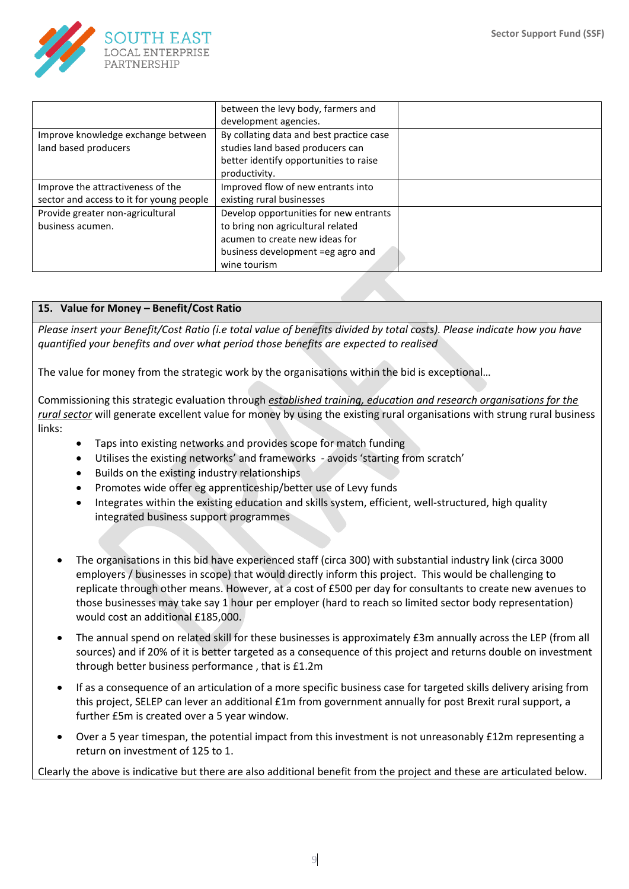

|                                          | between the levy body, farmers and       |  |
|------------------------------------------|------------------------------------------|--|
|                                          | development agencies.                    |  |
| Improve knowledge exchange between       | By collating data and best practice case |  |
| land based producers                     | studies land based producers can         |  |
|                                          | better identify opportunities to raise   |  |
|                                          | productivity.                            |  |
| Improve the attractiveness of the        | Improved flow of new entrants into       |  |
| sector and access to it for young people | existing rural businesses                |  |
| Provide greater non-agricultural         | Develop opportunities for new entrants   |  |
| business acumen.                         | to bring non agricultural related        |  |
|                                          | acumen to create new ideas for           |  |
|                                          | business development =eg agro and        |  |
|                                          | wine tourism                             |  |

## **15. Value for Money – Benefit/Cost Ratio**

*Please insert your Benefit/Cost Ratio (i.e total value of benefits divided by total costs). Please indicate how you have quantified your benefits and over what period those benefits are expected to realised*

The value for money from the strategic work by the organisations within the bid is exceptional…

Commissioning this strategic evaluation through *established training, education and research organisations for the rural sector* will generate excellent value for money by using the existing rural organisations with strung rural business links:

- Taps into existing networks and provides scope for match funding
- Utilises the existing networks' and frameworks avoids 'starting from scratch'
- Builds on the existing industry relationships
- Promotes wide offer eg apprenticeship/better use of Levy funds
- Integrates within the existing education and skills system, efficient, well-structured, high quality integrated business support programmes
- The organisations in this bid have experienced staff (circa 300) with substantial industry link (circa 3000 employers / businesses in scope) that would directly inform this project. This would be challenging to replicate through other means. However, at a cost of £500 per day for consultants to create new avenues to those businesses may take say 1 hour per employer (hard to reach so limited sector body representation) would cost an additional £185,000.
- The annual spend on related skill for these businesses is approximately £3m annually across the LEP (from all sources) and if 20% of it is better targeted as a consequence of this project and returns double on investment through better business performance , that is £1.2m
- If as a consequence of an articulation of a more specific business case for targeted skills delivery arising from this project, SELEP can lever an additional £1m from government annually for post Brexit rural support, a further £5m is created over a 5 year window.
- Over a 5 year timespan, the potential impact from this investment is not unreasonably £12m representing a return on investment of 125 to 1.

Clearly the above is indicative but there are also additional benefit from the project and these are articulated below.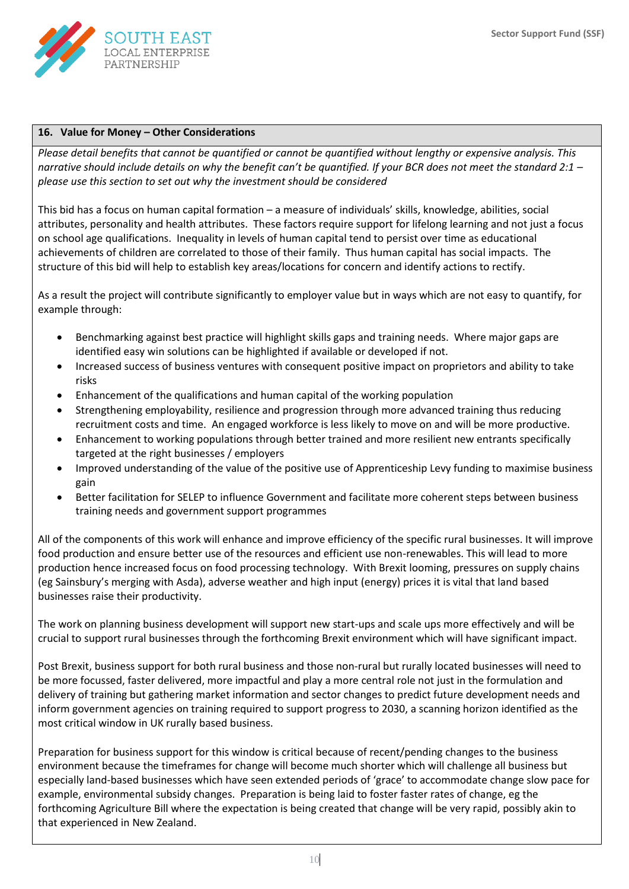

#### **16. Value for Money – Other Considerations**

*Please detail benefits that cannot be quantified or cannot be quantified without lengthy or expensive analysis. This narrative should include details on why the benefit can't be quantified. If your BCR does not meet the standard 2:1 – please use this section to set out why the investment should be considered*

This bid has a focus on human capital formation – a measure of individuals' skills, knowledge, abilities, social attributes, personality and health attributes. These factors require support for lifelong learning and not just a focus on school age qualifications. Inequality in levels of human capital tend to persist over time as educational achievements of children are correlated to those of their family. Thus human capital has social impacts. The structure of this bid will help to establish key areas/locations for concern and identify actions to rectify.

As a result the project will contribute significantly to employer value but in ways which are not easy to quantify, for example through:

- Benchmarking against best practice will highlight skills gaps and training needs. Where major gaps are identified easy win solutions can be highlighted if available or developed if not.
- Increased success of business ventures with consequent positive impact on proprietors and ability to take risks
- Enhancement of the qualifications and human capital of the working population
- Strengthening employability, resilience and progression through more advanced training thus reducing recruitment costs and time. An engaged workforce is less likely to move on and will be more productive.
- Enhancement to working populations through better trained and more resilient new entrants specifically targeted at the right businesses / employers
- Improved understanding of the value of the positive use of Apprenticeship Levy funding to maximise business gain
- Better facilitation for SELEP to influence Government and facilitate more coherent steps between business training needs and government support programmes

All of the components of this work will enhance and improve efficiency of the specific rural businesses. It will improve food production and ensure better use of the resources and efficient use non-renewables. This will lead to more production hence increased focus on food processing technology. With Brexit looming, pressures on supply chains (eg Sainsbury's merging with Asda), adverse weather and high input (energy) prices it is vital that land based businesses raise their productivity.

The work on planning business development will support new start-ups and scale ups more effectively and will be crucial to support rural businesses through the forthcoming Brexit environment which will have significant impact.

Post Brexit, business support for both rural business and those non-rural but rurally located businesses will need to be more focussed, faster delivered, more impactful and play a more central role not just in the formulation and delivery of training but gathering market information and sector changes to predict future development needs and inform government agencies on training required to support progress to 2030, a scanning horizon identified as the most critical window in UK rurally based business.

Preparation for business support for this window is critical because of recent/pending changes to the business environment because the timeframes for change will become much shorter which will challenge all business but especially land-based businesses which have seen extended periods of 'grace' to accommodate change slow pace for example, environmental subsidy changes. Preparation is being laid to foster faster rates of change, eg the forthcoming Agriculture Bill where the expectation is being created that change will be very rapid, possibly akin to that experienced in New Zealand.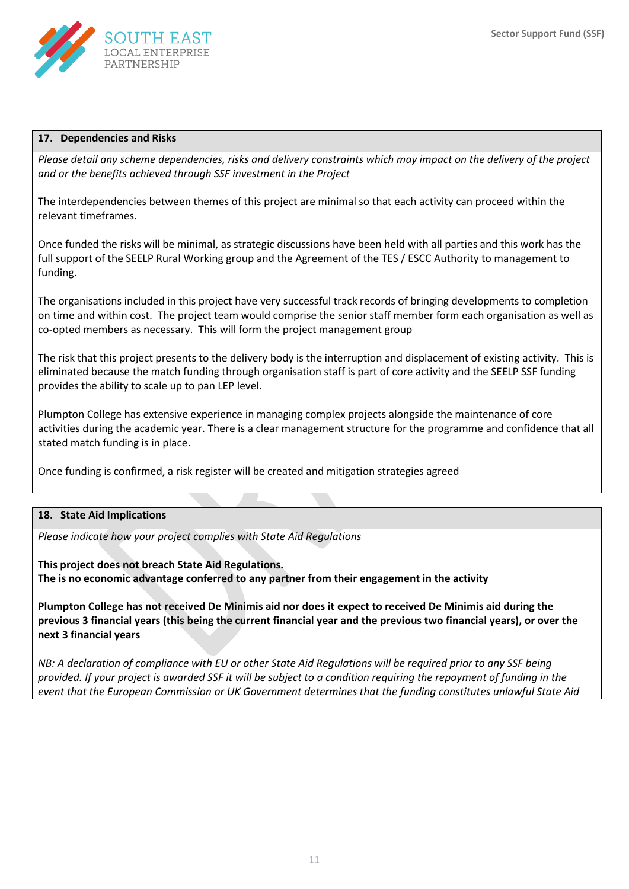

#### **17. Dependencies and Risks**

*Please detail any scheme dependencies, risks and delivery constraints which may impact on the delivery of the project and or the benefits achieved through SSF investment in the Project*

The interdependencies between themes of this project are minimal so that each activity can proceed within the relevant timeframes.

Once funded the risks will be minimal, as strategic discussions have been held with all parties and this work has the full support of the SEELP Rural Working group and the Agreement of the TES / ESCC Authority to management to funding.

The organisations included in this project have very successful track records of bringing developments to completion on time and within cost. The project team would comprise the senior staff member form each organisation as well as co-opted members as necessary. This will form the project management group

The risk that this project presents to the delivery body is the interruption and displacement of existing activity. This is eliminated because the match funding through organisation staff is part of core activity and the SEELP SSF funding provides the ability to scale up to pan LEP level.

Plumpton College has extensive experience in managing complex projects alongside the maintenance of core activities during the academic year. There is a clear management structure for the programme and confidence that all stated match funding is in place.

Once funding is confirmed, a risk register will be created and mitigation strategies agreed

#### **18. State Aid Implications**

*Please indicate how your project complies with State Aid Regulations*

**This project does not breach State Aid Regulations. The is no economic advantage conferred to any partner from their engagement in the activity**

**Plumpton College has not received De Minimis aid nor does it expect to received De Minimis aid during the previous 3 financial years (this being the current financial year and the previous two financial years), or over the next 3 financial years**

*NB: A declaration of compliance with EU or other State Aid Regulations will be required prior to any SSF being provided. If your project is awarded SSF it will be subject to a condition requiring the repayment of funding in the event that the European Commission or UK Government determines that the funding constitutes unlawful State Aid*